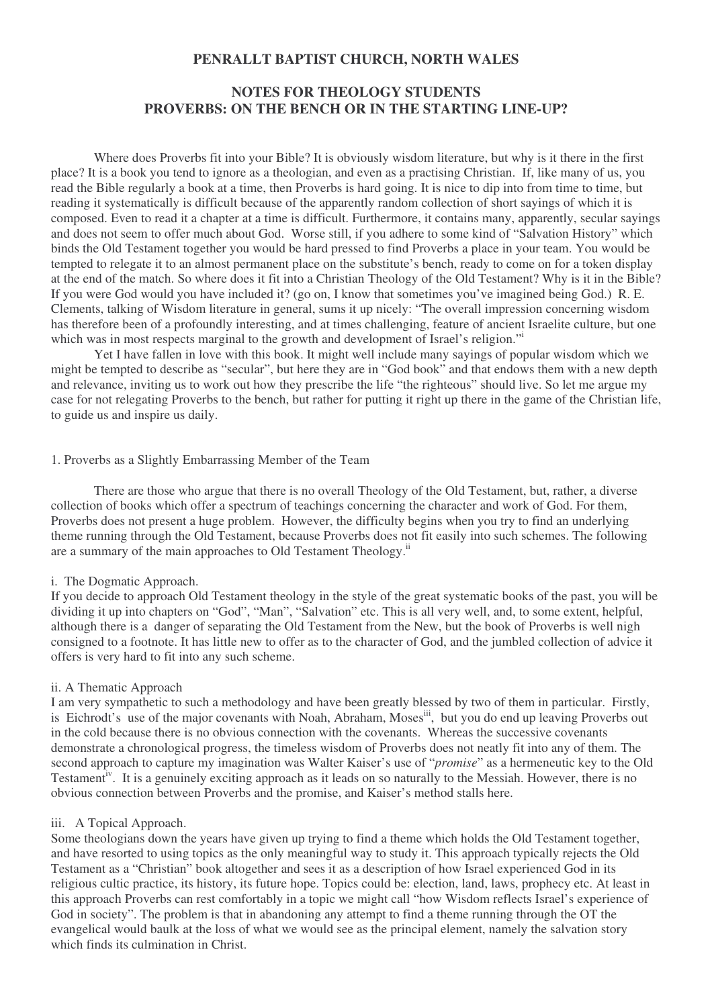# **PENRALLT BAPTIST CHURCH, NORTH WALES**

# **NOTES FOR THEOLOGY STUDENTS PROVERBS: ON THE BENCH OR IN THE STARTING LINE-UP?**

Where does Proverbs fit into your Bible? It is obviously wisdom literature, but why is it there in the first place? It is a book you tend to ignore as a theologian, and even as a practising Christian. If, like many of us, you read the Bible regularly a book at a time, then Proverbs is hard going. It is nice to dip into from time to time, but reading it systematically is difficult because of the apparently random collection of short sayings of which it is composed. Even to read it a chapter at a time is difficult. Furthermore, it contains many, apparently, secular sayings and does not seem to offer much about God. Worse still, if you adhere to some kind of "Salvation History" which binds the Old Testament together you would be hard pressed to find Proverbs a place in your team. You would be tempted to relegate it to an almost permanent place on the substitute's bench, ready to come on for a token display at the end of the match. So where does it fit into a Christian Theology of the Old Testament? Why is it in the Bible? If you were God would you have included it? (go on, I know that sometimes you've imagined being God.) R. E. Clements, talking of Wisdom literature in general, sums it up nicely: "The overall impression concerning wisdom has therefore been of a profoundly interesting, and at times challenging, feature of ancient Israelite culture, but one which was in most respects marginal to the growth and development of Israel's religion."

Yet I have fallen in love with this book. It might well include many sayings of popular wisdom which we might be tempted to describe as "secular", but here they are in "God book" and that endows them with a new depth and relevance, inviting us to work out how they prescribe the life "the righteous" should live. So let me argue my case for not relegating Proverbs to the bench, but rather for putting it right up there in the game of the Christian life, to guide us and inspire us daily.

#### 1. Proverbs as a Slightly Embarrassing Member of the Team

There are those who argue that there is no overall Theology of the Old Testament, but, rather, a diverse collection of books which offer a spectrum of teachings concerning the character and work of God. For them, Proverbs does not present a huge problem. However, the difficulty begins when you try to find an underlying theme running through the Old Testament, because Proverbs does not fit easily into such schemes. The following are a summary of the main approaches to Old Testament Theology.<sup>ii</sup>

#### i. The Dogmatic Approach.

If you decide to approach Old Testament theology in the style of the great systematic books of the past, you will be dividing it up into chapters on "God", "Man", "Salvation" etc. This is all very well, and, to some extent, helpful, although there is a danger of separating the Old Testament from the New, but the book of Proverbs is well nigh consigned to a footnote. It has little new to offer as to the character of God, and the jumbled collection of advice it offers is very hard to fit into any such scheme.

### ii. A Thematic Approach

I am very sympathetic to such a methodology and have been greatly blessed by two of them in particular. Firstly, is Eichrodt's use of the major covenants with Noah, Abraham, Moses<sup>iii</sup>, but you do end up leaving Proverbs out in the cold because there is no obvious connection with the covenants. Whereas the successive covenants demonstrate a chronological progress, the timeless wisdom of Proverbs does not neatly fit into any of them. The second approach to capture my imagination was Walter Kaiser's use of "*promise*" as a hermeneutic key to the Old Testament<sup>iv</sup>. It is a genuinely exciting approach as it leads on so naturally to the Messiah. However, there is no obvious connection between Proverbs and the promise, and Kaiser's method stalls here.

# iii. A Topical Approach.

Some theologians down the years have given up trying to find a theme which holds the Old Testament together, and have resorted to using topics as the only meaningful way to study it. This approach typically rejects the Old Testament as a "Christian" book altogether and sees it as a description of how Israel experienced God in its religious cultic practice, its history, its future hope. Topics could be: election, land, laws, prophecy etc. At least in this approach Proverbs can rest comfortably in a topic we might call "how Wisdom reflects Israel's experience of God in society". The problem is that in abandoning any attempt to find a theme running through the OT the evangelical would baulk at the loss of what we would see as the principal element, namely the salvation story which finds its culmination in Christ.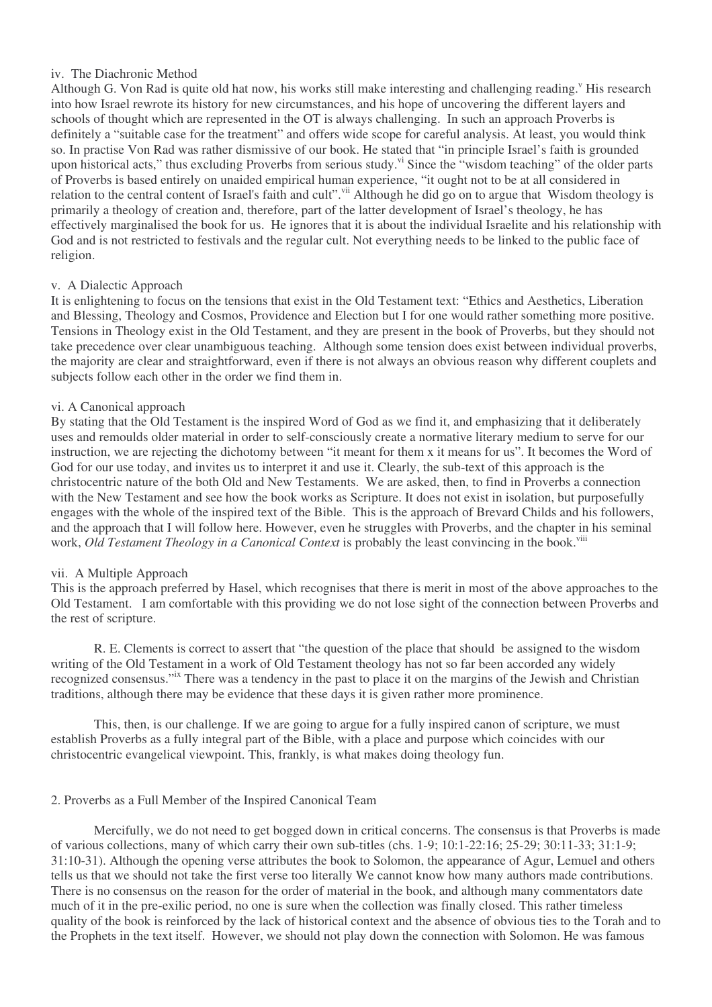# iv. The Diachronic Method

Although G. Von Rad is quite old hat now, his works still make interesting and challenging reading.<sup>V</sup> His research into how Israel rewrote its history for new circumstances, and his hope of uncovering the different layers and schools of thought which are represented in the OT is always challenging. In such an approach Proverbs is definitely a "suitable case for the treatment" and offers wide scope for careful analysis. At least, you would think so. In practise Von Rad was rather dismissive of our book. He stated that "in principle Israel's faith is grounded upon historical acts," thus excluding Proverbs from serious study." Since the "wisdom teaching" of the older parts of Proverbs is based entirely on unaided empirical human experience, "it ought not to be at all considered in relation to the central content of Israel's faith and cult". <sup>vii</sup> Although he did go on to argue that Wisdom theology is primarily a theology of creation and, therefore, part of the latter development of Israel's theology, he has effectively marginalised the book for us. He ignores that it is about the individual Israelite and his relationship with God and is not restricted to festivals and the regular cult. Not everything needs to be linked to the public face of religion.

## v. A Dialectic Approach

It is enlightening to focus on the tensions that exist in the Old Testament text: "Ethics and Aesthetics, Liberation and Blessing, Theology and Cosmos, Providence and Election but I for one would rather something more positive. Tensions in Theology exist in the Old Testament, and they are present in the book of Proverbs, but they should not take precedence over clear unambiguous teaching. Although some tension does exist between individual proverbs, the majority are clear and straightforward, even if there is not always an obvious reason why different couplets and subjects follow each other in the order we find them in.

#### vi. A Canonical approach

By stating that the Old Testament is the inspired Word of God as we find it, and emphasizing that it deliberately uses and remoulds older material in order to self-consciously create a normative literary medium to serve for our instruction, we are rejecting the dichotomy between "it meant for them x it means for us". It becomes the Word of God for our use today, and invites us to interpret it and use it. Clearly, the sub-text of this approach is the christocentric nature of the both Old and New Testaments. We are asked, then, to find in Proverbs a connection with the New Testament and see how the book works as Scripture. It does not exist in isolation, but purposefully engages with the whole of the inspired text of the Bible. This is the approach of Brevard Childs and his followers, and the approach that I will follow here. However, even he struggles with Proverbs, and the chapter in his seminal work, *Old Testament Theology in a Canonical Context* is probably the least convincing in the book. viii

#### vii. A Multiple Approach

This is the approach preferred by Hasel, which recognises that there is merit in most of the above approaches to the Old Testament. I am comfortable with this providing we do not lose sight of the connection between Proverbs and the rest of scripture.

R. E. Clements is correct to assert that "the question of the place that should be assigned to the wisdom writing of the Old Testament in a work of Old Testament theology has not so far been accorded any widely recognized consensus." There was a tendency in the past to place it on the margins of the Jewish and Christian traditions, although there may be evidence that these days it is given rather more prominence.

This, then, is our challenge. If we are going to argue for a fully inspired canon of scripture, we must establish Proverbs as a fully integral part of the Bible, with a place and purpose which coincides with our christocentric evangelical viewpoint. This, frankly, is what makes doing theology fun.

#### 2. Proverbs as a Full Member of the Inspired Canonical Team

Mercifully, we do not need to get bogged down in critical concerns. The consensus is that Proverbs is made of various collections, many of which carry their own sub-titles (chs. 1-9; 10:1-22:16; 25-29; 30:11-33; 31:1-9; 31:10-31). Although the opening verse attributes the book to Solomon, the appearance of Agur, Lemuel and others tells us that we should not take the first verse too literally We cannot know how many authors made contributions. There is no consensus on the reason for the order of material in the book, and although many commentators date much of it in the pre-exilic period, no one is sure when the collection was finally closed. This rather timeless quality of the book is reinforced by the lack of historical context and the absence of obvious ties to the Torah and to the Prophets in the text itself. However, we should not play down the connection with Solomon. He was famous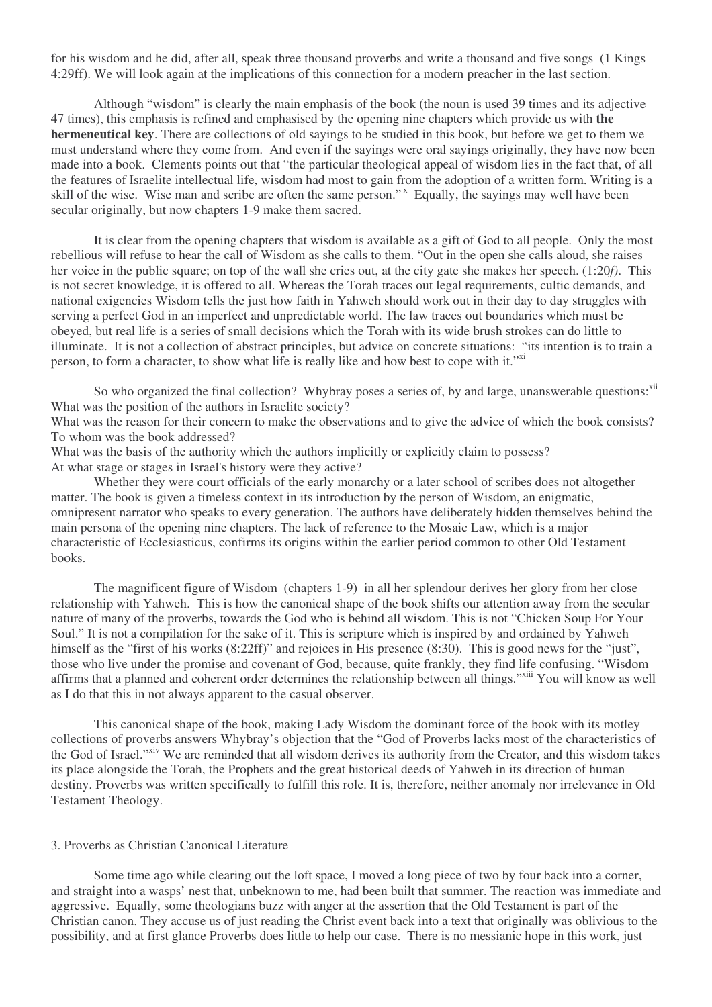for his wisdom and he did, after all, speak three thousand proverbs and write a thousand and five songs (1 Kings 4:29ff). We will look again at the implications of this connection for a modern preacher in the last section.

Although "wisdom" is clearly the main emphasis of the book (the noun is used 39 times and its adjective 47 times), this emphasis is refined and emphasised by the opening nine chapters which provide us with **the hermeneutical key**. There are collections of old sayings to be studied in this book, but before we get to them we must understand where they come from. And even if the sayings were oral sayings originally, they have now been made into a book. Clements points out that "the particular theological appeal of wisdom lies in the fact that, of all the features of Israelite intellectual life, wisdom had most to gain from the adoption of a written form. Writing is a skill of the wise. Wise man and scribe are often the same person."<sup>x</sup> Equally, the sayings may well have been secular originally, but now chapters 1-9 make them sacred.

It is clear from the opening chapters that wisdom is available as a gift of God to all people. Only the most rebellious will refuse to hear the call of Wisdom as she calls to them. "Out in the open she calls aloud, she raises her voice in the public square; on top of the wall she cries out, at the city gate she makes her speech. (1:20*f)*. This is not secret knowledge, it is offered to all. Whereas the Torah traces out legal requirements, cultic demands, and national exigencies Wisdom tells the just how faith in Yahweh should work out in their day to day struggles with serving a perfect God in an imperfect and unpredictable world. The law traces out boundaries which must be obeyed, but real life is a series of small decisions which the Torah with its wide brush strokes can do little to illuminate. It is not a collection of abstract principles, but advice on concrete situations: "its intention is to train a person, to form a character, to show what life is really like and how best to cope with it."<sup>xi</sup>

So who organized the final collection? Whybray poses a series of, by and large, unanswerable questions: xii What was the position of the authors in Israelite society?

What was the reason for their concern to make the observations and to give the advice of which the book consists? To whom was the book addressed?

What was the basis of the authority which the authors implicitly or explicitly claim to possess? At what stage or stages in Israel's history were they active?

Whether they were court officials of the early monarchy or a later school of scribes does not altogether matter. The book is given a timeless context in its introduction by the person of Wisdom, an enigmatic, omnipresent narrator who speaks to every generation. The authors have deliberately hidden themselves behind the main persona of the opening nine chapters. The lack of reference to the Mosaic Law, which is a major characteristic of Ecclesiasticus, confirms its origins within the earlier period common to other Old Testament books.

The magnificent figure of Wisdom (chapters 1-9) in all her splendour derives her glory from her close relationship with Yahweh. This is how the canonical shape of the book shifts our attention away from the secular nature of many of the proverbs, towards the God who is behind all wisdom. This is not "Chicken Soup For Your Soul." It is not a compilation for the sake of it. This is scripture which is inspired by and ordained by Yahweh himself as the "first of his works (8:22ff)" and rejoices in His presence (8:30). This is good news for the "just", those who live under the promise and covenant of God, because, quite frankly, they find life confusing. "Wisdom affirms that a planned and coherent order determines the relationship between all things."<sup>xiii</sup> You will know as well as I do that this in not always apparent to the casual observer.

This canonical shape of the book, making Lady Wisdom the dominant force of the book with its motley collections of proverbs answers Whybray's objection that the "God of Proverbs lacks most of the characteristics of the God of Israel."<sup>xiv</sup> We are reminded that all wisdom derives its authority from the Creator, and this wisdom takes its place alongside the Torah, the Prophets and the great historical deeds of Yahweh in its direction of human destiny. Proverbs was written specifically to fulfill this role. It is, therefore, neither anomaly nor irrelevance in Old Testament Theology.

## 3. Proverbs as Christian Canonical Literature

Some time ago while clearing out the loft space, I moved a long piece of two by four back into a corner, and straight into a wasps' nest that, unbeknown to me, had been built that summer. The reaction was immediate and aggressive. Equally, some theologians buzz with anger at the assertion that the Old Testament is part of the Christian canon. They accuse us of just reading the Christ event back into a text that originally was oblivious to the possibility, and at first glance Proverbs does little to help our case. There is no messianic hope in this work, just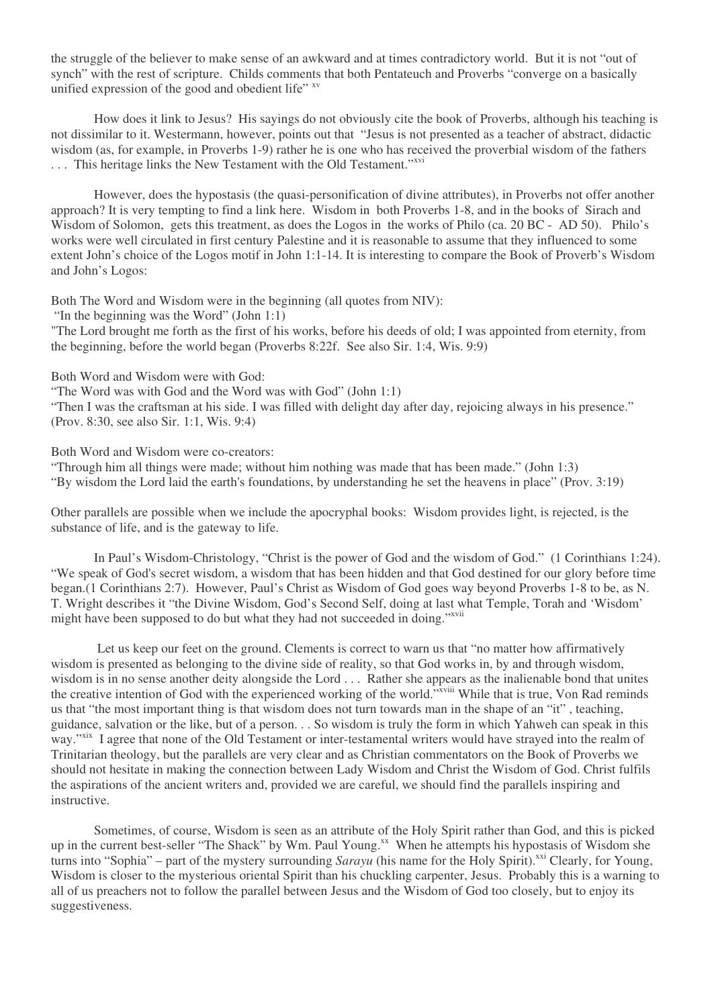the struggle of the believer to make sense of an awkward and at times contradictory world. But it is not "out of synch" with the rest of scripture. Childs comments that both Pentateuch and Proverbs "converge on a basically unified expression of the good and obedient life" xv

How does it link to Jesus? His sayings do not obviously cite the book of Proverbs, although his teaching is not dissimilar to it. Westermann, however, points out that "Jesus is not presented as a teacher of abstract, didactic wisdom (as, for example, in Proverbs 1-9) rather he is one who has received the proverbial wisdom of the fathers ... This heritage links the New Testament with the Old Testament."xvi

However, does the hypostasis (the quasi-personification of divine attributes), in Proverbs not offer another approach? It is very tempting to find a link here. Wisdom in both Proverbs 1-8, and in the books of Sirach and Wisdom of Solomon, gets this treatment, as does the Logos in the works of Philo (ca. 20 BC - AD 50). Philo's works were well circulated in first century Palestine and it is reasonable to assume that they influenced to some extent John's choice of the Logos motif in John 1:1-14. It is interesting to compare the Book of Proverb's Wisdom and John's Logos:

Both The Word and Wisdom were in the beginning (all quotes from NIV):

"In the beginning was the Word" (John 1:1)

"The Lord brought me forth as the first of his works, before his deeds of old; I was appointed from eternity, from the beginning, before the world began (Proverbs 8:22f. See also Sir. 1:4, Wis. 9:9)

Both Word and Wisdom were with God:

"The Word was with God and the Word was with God" (John 1:1)

"Then I was the craftsman at his side. I was filled with delight day after day, rejoicing always in his presence." (Prov. 8:30, see also Sir. 1:1, Wis. 9:4)

Both Word and Wisdom were co-creators:

"Through him all things were made; without him nothing was made that has been made." (John 1:3) "By wisdom the Lord laid the earth's foundations, by understanding he set the heavens in place" (Prov. 3:19)

Other parallels are possible when we include the apocryphal books: Wisdom provides light, is rejected, is the substance of life, and is the gateway to life.

In Paul's Wisdom-Christology, "Christ is the power of God and the wisdom of God." (1 Corinthians 1:24). "We speak of God's secret wisdom, a wisdom that has been hidden and that God destined for our glory before time began.(1 Corinthians 2:7). However, Paul's Christ as Wisdom of God goes way beyond Proverbs 1-8 to be, as N. T. Wright describes it "the Divine Wisdom, God's Second Self, doing at last what Temple, Torah and 'Wisdom' might have been supposed to do but what they had not succeeded in doing."XVII

Let us keep our feet on the ground. Clements is correct to warn us that "no matter how affirmatively wisdom is presented as belonging to the divine side of reality, so that God works in, by and through wisdom, wisdom is in no sense another deity alongside the Lord . . . Rather she appears as the inalienable bond that unites the creative intention of God with the experienced working of the world."<sup>xviii</sup> While that is true, Von Rad reminds us that "the most important thing is that wisdom does not turn towards man in the shape of an "it" , teaching, guidance, salvation or the like, but of a person. . . So wisdom is truly the form in which Yahweh can speak in this way."<sup>xix</sup> I agree that none of the Old Testament or inter-testamental writers would have strayed into the realm of Trinitarian theology, but the parallels are very clear and as Christian commentators on the Book of Proverbs we should not hesitate in making the connection between Lady Wisdom and Christ the Wisdom of God. Christ fulfils the aspirations of the ancient writers and, provided we are careful, we should find the parallels inspiring and instructive.

Sometimes, of course, Wisdom is seen as an attribute of the Holy Spirit rather than God, and this is picked up in the current best-seller "The Shack" by Wm. Paul Young.<sup>xx</sup> When he attempts his hypostasis of Wisdom she turns into "Sophia" – part of the mystery surrounding *Sarayu* (his name for the Holy Spirit).<sup>xxi</sup> Clearly, for Young, Wisdom is closer to the mysterious oriental Spirit than his chuckling carpenter. Jesus. Probably this is a warning to all of us preachers not to follow the parallel between Jesus and the Wisdom of God too closely, but to enjoy its suggestiveness.